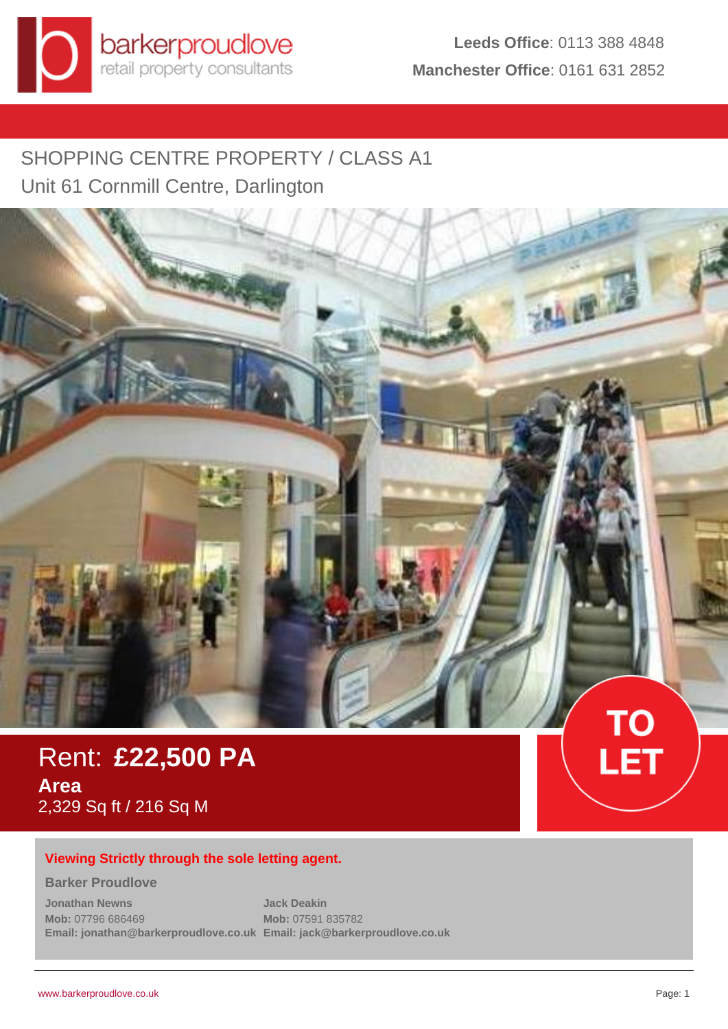# SHOPPING CENTRE PROPERTY / CLASS A1 Unit 61 Cornmill Centre, Darlington



Rent: **£22,500 PA Area** 2,329 Sq ft / 216 Sq M

# **Viewing Strictly through the sole letting agent.**

#### **Barker Proudlove**

**Jonathan Newns Mob:** 07796 686469 **Email: jonathan@barkerproudlove.co.uk Email: jack@barkerproudlove.co.uk Jack Deakin Mob:** 07591 835782